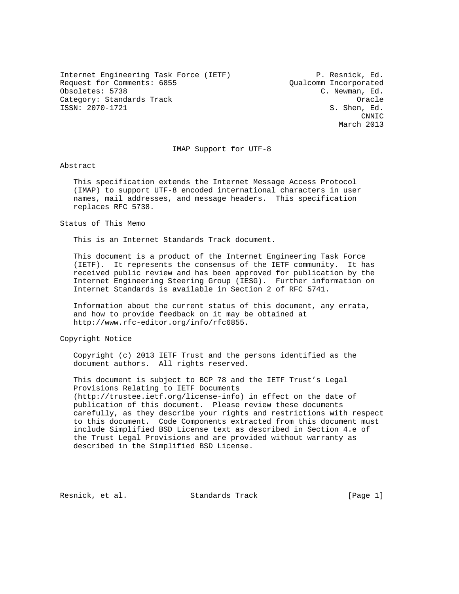Internet Engineering Task Force (IETF) P. Resnick, Ed. Request for Comments: 6855 Qualcomm Incorporated Obsoletes: 5738 C. Newman, Ed. Category: Standards Track Category: Standards Track Category: Standards Track Category: Oracle ISSN: 2070-1721 S. Shen, Ed.

**CNNIC** March 2013

#### IMAP Support for UTF-8

Abstract

 This specification extends the Internet Message Access Protocol (IMAP) to support UTF-8 encoded international characters in user names, mail addresses, and message headers. This specification replaces RFC 5738.

Status of This Memo

This is an Internet Standards Track document.

 This document is a product of the Internet Engineering Task Force (IETF). It represents the consensus of the IETF community. It has received public review and has been approved for publication by the Internet Engineering Steering Group (IESG). Further information on Internet Standards is available in Section 2 of RFC 5741.

 Information about the current status of this document, any errata, and how to provide feedback on it may be obtained at http://www.rfc-editor.org/info/rfc6855.

Copyright Notice

 Copyright (c) 2013 IETF Trust and the persons identified as the document authors. All rights reserved.

 This document is subject to BCP 78 and the IETF Trust's Legal Provisions Relating to IETF Documents (http://trustee.ietf.org/license-info) in effect on the date of publication of this document. Please review these documents carefully, as they describe your rights and restrictions with respect to this document. Code Components extracted from this document must include Simplified BSD License text as described in Section 4.e of the Trust Legal Provisions and are provided without warranty as described in the Simplified BSD License.

Resnick, et al. Standards Track [Page 1]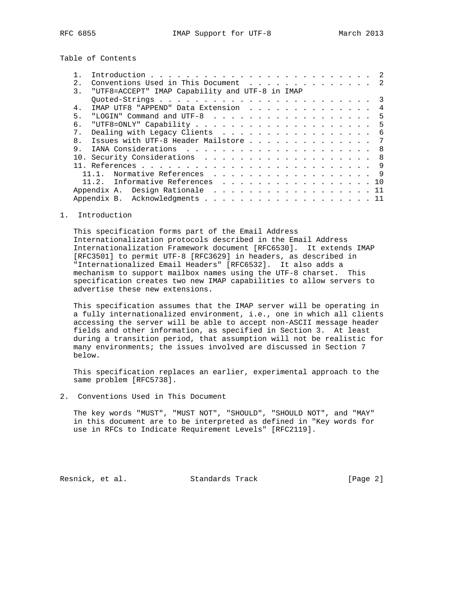Table of Contents

| $2^{\circ}$      | Conventions Used in This Document 2             |  |
|------------------|-------------------------------------------------|--|
| $\overline{3}$ . | "UTF8=ACCEPT" IMAP Capability and UTF-8 in IMAP |  |
|                  |                                                 |  |
| $4$ .            | IMAP UTF8 "APPEND" Data Extension               |  |
| 5.               | "LOGIN" Command and UTF-8<br>-5                 |  |
| б.               |                                                 |  |
| 7 <sub>1</sub>   | Dealing with Legacy Clients 6                   |  |
| 8 <sub>1</sub>   | Issues with UTF-8 Header Mailstore<br>- 7       |  |
| 9.               | - 8                                             |  |
|                  | 10. Security Considerations 8                   |  |
|                  |                                                 |  |
|                  | Normative References 9                          |  |
|                  | 11.2. Informative References 10                 |  |
|                  | Appendix A. Design Rationale 11                 |  |
|                  | Appendix B. Acknowledgments 11                  |  |

1. Introduction

 This specification forms part of the Email Address Internationalization protocols described in the Email Address Internationalization Framework document [RFC6530]. It extends IMAP [RFC3501] to permit UTF-8 [RFC3629] in headers, as described in "Internationalized Email Headers" [RFC6532]. It also adds a mechanism to support mailbox names using the UTF-8 charset. This specification creates two new IMAP capabilities to allow servers to advertise these new extensions.

 This specification assumes that the IMAP server will be operating in a fully internationalized environment, i.e., one in which all clients accessing the server will be able to accept non-ASCII message header fields and other information, as specified in Section 3. At least during a transition period, that assumption will not be realistic for many environments; the issues involved are discussed in Section 7 below.

 This specification replaces an earlier, experimental approach to the same problem [RFC5738].

2. Conventions Used in This Document

 The key words "MUST", "MUST NOT", "SHOULD", "SHOULD NOT", and "MAY" in this document are to be interpreted as defined in "Key words for use in RFCs to Indicate Requirement Levels" [RFC2119].

Resnick, et al. Standards Track [Page 2]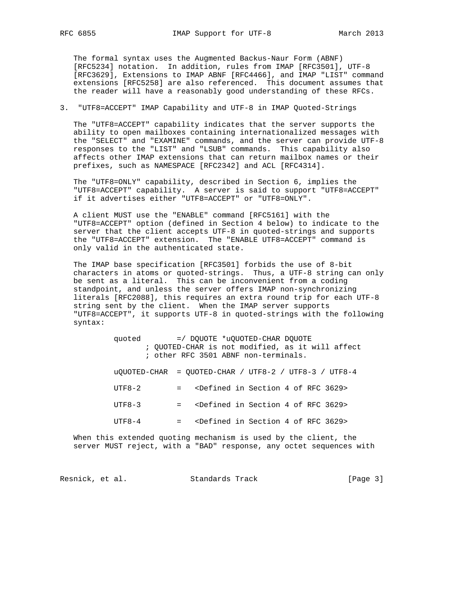The formal syntax uses the Augmented Backus-Naur Form (ABNF) [RFC5234] notation. In addition, rules from IMAP [RFC3501], UTF-8 [RFC3629], Extensions to IMAP ABNF [RFC4466], and IMAP "LIST" command extensions [RFC5258] are also referenced. This document assumes that the reader will have a reasonably good understanding of these RFCs.

### 3. "UTF8=ACCEPT" IMAP Capability and UTF-8 in IMAP Quoted-Strings

 The "UTF8=ACCEPT" capability indicates that the server supports the ability to open mailboxes containing internationalized messages with the "SELECT" and "EXAMINE" commands, and the server can provide UTF-8 responses to the "LIST" and "LSUB" commands. This capability also affects other IMAP extensions that can return mailbox names or their prefixes, such as NAMESPACE [RFC2342] and ACL [RFC4314].

 The "UTF8=ONLY" capability, described in Section 6, implies the "UTF8=ACCEPT" capability. A server is said to support "UTF8=ACCEPT" if it advertises either "UTF8=ACCEPT" or "UTF8=ONLY".

 A client MUST use the "ENABLE" command [RFC5161] with the "UTF8=ACCEPT" option (defined in Section 4 below) to indicate to the server that the client accepts UTF-8 in quoted-strings and supports the "UTF8=ACCEPT" extension. The "ENABLE UTF8=ACCEPT" command is only valid in the authenticated state.

 The IMAP base specification [RFC3501] forbids the use of 8-bit characters in atoms or quoted-strings. Thus, a UTF-8 string can only be sent as a literal. This can be inconvenient from a coding standpoint, and unless the server offers IMAP non-synchronizing literals [RFC2088], this requires an extra round trip for each UTF-8 string sent by the client. When the IMAP server supports "UTF8=ACCEPT", it supports UTF-8 in quoted-strings with the following syntax:

| quoted | =/ DOUOTE *uOUOTED-CHAR DOUOTE                              |
|--------|-------------------------------------------------------------|
|        | ; OUOTED-CHAR is not modified, as it will affect            |
|        | ; other RFC 3501 ABNF non-terminals.                        |
|        |                                                             |
|        | 110IIOTED_CHAD - OIIOTED_CHAD / IITE8_2 / IITE8_3 / IITE8_4 |

| UVUVILD-CHAR – VUVILD-CHAR / UIF0-Z / UIF0-3 / UIF0-4 |                                                                  |  |  |
|-------------------------------------------------------|------------------------------------------------------------------|--|--|
| $UTF8-2$                                              | = <defined 3629="" 4="" in="" of="" rfc="" section=""></defined> |  |  |
| $IITF8-3$                                             | = <defined 3629="" 4="" in="" of="" rfc="" section=""></defined> |  |  |
| $IITFR-4$                                             | <defined 3629="" 4="" in="" of="" rfc="" section=""></defined>   |  |  |

 When this extended quoting mechanism is used by the client, the server MUST reject, with a "BAD" response, any octet sequences with

Resnick, et al. Standards Track [Page 3]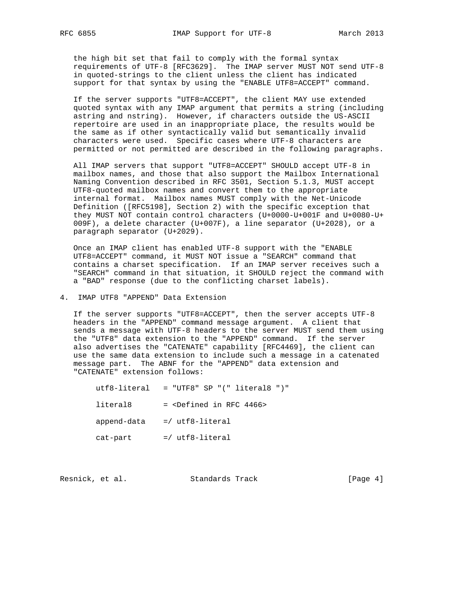the high bit set that fail to comply with the formal syntax requirements of UTF-8 [RFC3629]. The IMAP server MUST NOT send UTF-8 in quoted-strings to the client unless the client has indicated support for that syntax by using the "ENABLE UTF8=ACCEPT" command.

 If the server supports "UTF8=ACCEPT", the client MAY use extended quoted syntax with any IMAP argument that permits a string (including astring and nstring). However, if characters outside the US-ASCII repertoire are used in an inappropriate place, the results would be the same as if other syntactically valid but semantically invalid characters were used. Specific cases where UTF-8 characters are permitted or not permitted are described in the following paragraphs.

 All IMAP servers that support "UTF8=ACCEPT" SHOULD accept UTF-8 in mailbox names, and those that also support the Mailbox International Naming Convention described in RFC 3501, Section 5.1.3, MUST accept UTF8-quoted mailbox names and convert them to the appropriate internal format. Mailbox names MUST comply with the Net-Unicode Definition ([RFC5198], Section 2) with the specific exception that they MUST NOT contain control characters (U+0000-U+001F and U+0080-U+ 009F), a delete character (U+007F), a line separator (U+2028), or a paragraph separator (U+2029).

 Once an IMAP client has enabled UTF-8 support with the "ENABLE UTF8=ACCEPT" command, it MUST NOT issue a "SEARCH" command that contains a charset specification. If an IMAP server receives such a "SEARCH" command in that situation, it SHOULD reject the command with a "BAD" response (due to the conflicting charset labels).

## 4. IMAP UTF8 "APPEND" Data Extension

 If the server supports "UTF8=ACCEPT", then the server accepts UTF-8 headers in the "APPEND" command message argument. A client that sends a message with UTF-8 headers to the server MUST send them using the "UTF8" data extension to the "APPEND" command. If the server also advertises the "CATENATE" capability [RFC4469], the client can use the same data extension to include such a message in a catenated message part. The ABNF for the "APPEND" data extension and "CATENATE" extension follows:

|             | $utf8-literal$ = "UTF8" SP "(" literal8 ")"  |
|-------------|----------------------------------------------|
| literal8    | $=$ <defined 4466="" in="" rfc=""></defined> |
| append-data | =/ utf8-literal                              |
| cat-part    | $=$ / utf8-literal                           |

Resnick, et al. Standards Track [Page 4]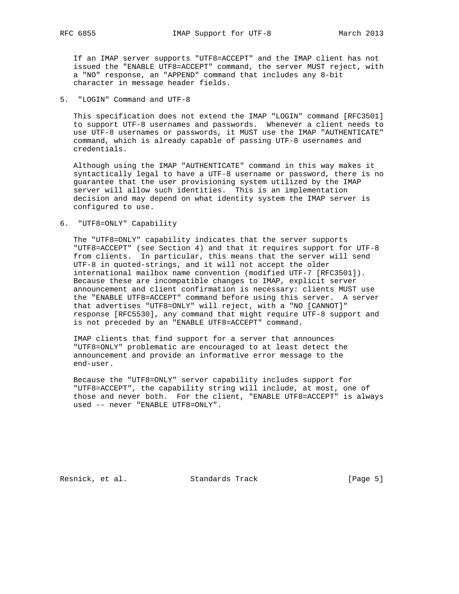If an IMAP server supports "UTF8=ACCEPT" and the IMAP client has not issued the "ENABLE UTF8=ACCEPT" command, the server MUST reject, with a "NO" response, an "APPEND" command that includes any 8-bit character in message header fields.

## 5. "LOGIN" Command and UTF-8

 This specification does not extend the IMAP "LOGIN" command [RFC3501] to support UTF-8 usernames and passwords. Whenever a client needs to use UTF-8 usernames or passwords, it MUST use the IMAP "AUTHENTICATE" command, which is already capable of passing UTF-8 usernames and credentials.

 Although using the IMAP "AUTHENTICATE" command in this way makes it syntactically legal to have a UTF-8 username or password, there is no guarantee that the user provisioning system utilized by the IMAP server will allow such identities. This is an implementation decision and may depend on what identity system the IMAP server is configured to use.

### 6. "UTF8=ONLY" Capability

 The "UTF8=ONLY" capability indicates that the server supports "UTF8=ACCEPT" (see Section 4) and that it requires support for UTF-8 from clients. In particular, this means that the server will send UTF-8 in quoted-strings, and it will not accept the older international mailbox name convention (modified UTF-7 [RFC3501]). Because these are incompatible changes to IMAP, explicit server announcement and client confirmation is necessary: clients MUST use the "ENABLE UTF8=ACCEPT" command before using this server. A server that advertises "UTF8=ONLY" will reject, with a "NO [CANNOT]" response [RFC5530], any command that might require UTF-8 support and is not preceded by an "ENABLE UTF8=ACCEPT" command.

 IMAP clients that find support for a server that announces "UTF8=ONLY" problematic are encouraged to at least detect the announcement and provide an informative error message to the end-user.

 Because the "UTF8=ONLY" server capability includes support for "UTF8=ACCEPT", the capability string will include, at most, one of those and never both. For the client, "ENABLE UTF8=ACCEPT" is always used -- never "ENABLE UTF8=ONLY".

Resnick, et al. Standards Track [Page 5]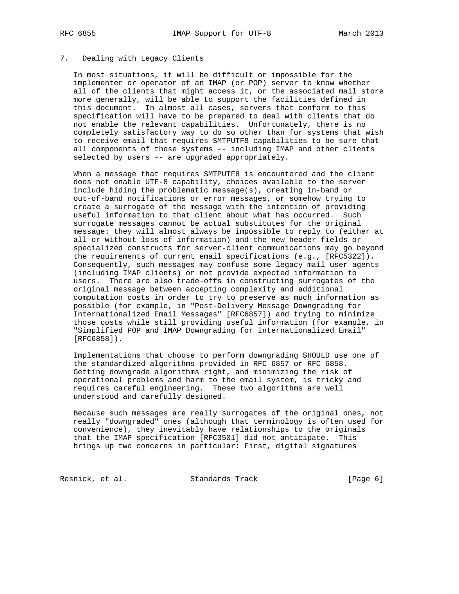### 7. Dealing with Legacy Clients

 In most situations, it will be difficult or impossible for the implementer or operator of an IMAP (or POP) server to know whether all of the clients that might access it, or the associated mail store more generally, will be able to support the facilities defined in this document. In almost all cases, servers that conform to this specification will have to be prepared to deal with clients that do not enable the relevant capabilities. Unfortunately, there is no completely satisfactory way to do so other than for systems that wish to receive email that requires SMTPUTF8 capabilities to be sure that all components of those systems -- including IMAP and other clients selected by users -- are upgraded appropriately.

 When a message that requires SMTPUTF8 is encountered and the client does not enable UTF-8 capability, choices available to the server include hiding the problematic message(s), creating in-band or out-of-band notifications or error messages, or somehow trying to create a surrogate of the message with the intention of providing useful information to that client about what has occurred. Such surrogate messages cannot be actual substitutes for the original message: they will almost always be impossible to reply to (either at all or without loss of information) and the new header fields or specialized constructs for server-client communications may go beyond the requirements of current email specifications (e.g., [RFC5322]). Consequently, such messages may confuse some legacy mail user agents (including IMAP clients) or not provide expected information to users. There are also trade-offs in constructing surrogates of the original message between accepting complexity and additional computation costs in order to try to preserve as much information as possible (for example, in "Post-Delivery Message Downgrading for Internationalized Email Messages" [RFC6857]) and trying to minimize those costs while still providing useful information (for example, in "Simplified POP and IMAP Downgrading for Internationalized Email" [RFC6858]).

 Implementations that choose to perform downgrading SHOULD use one of the standardized algorithms provided in RFC 6857 or RFC 6858. Getting downgrade algorithms right, and minimizing the risk of operational problems and harm to the email system, is tricky and requires careful engineering. These two algorithms are well understood and carefully designed.

 Because such messages are really surrogates of the original ones, not really "downgraded" ones (although that terminology is often used for convenience), they inevitably have relationships to the originals that the IMAP specification [RFC3501] did not anticipate. This brings up two concerns in particular: First, digital signatures

Resnick, et al. Standards Track [Page 6]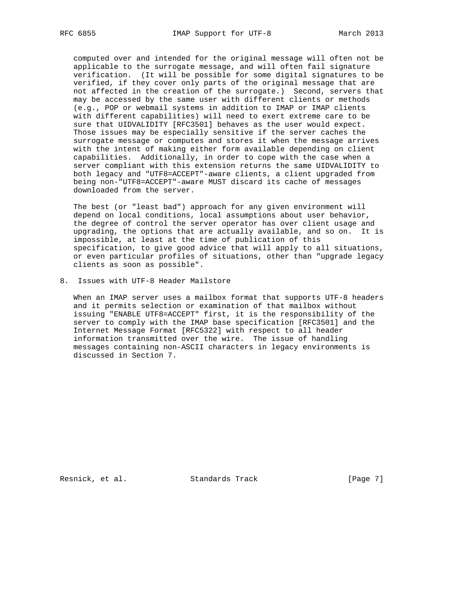computed over and intended for the original message will often not be applicable to the surrogate message, and will often fail signature verification. (It will be possible for some digital signatures to be verified, if they cover only parts of the original message that are not affected in the creation of the surrogate.) Second, servers that may be accessed by the same user with different clients or methods (e.g., POP or webmail systems in addition to IMAP or IMAP clients with different capabilities) will need to exert extreme care to be sure that UIDVALIDITY [RFC3501] behaves as the user would expect. Those issues may be especially sensitive if the server caches the surrogate message or computes and stores it when the message arrives with the intent of making either form available depending on client capabilities. Additionally, in order to cope with the case when a server compliant with this extension returns the same UIDVALIDITY to both legacy and "UTF8=ACCEPT"-aware clients, a client upgraded from being non-"UTF8=ACCEPT"-aware MUST discard its cache of messages downloaded from the server.

 The best (or "least bad") approach for any given environment will depend on local conditions, local assumptions about user behavior, the degree of control the server operator has over client usage and upgrading, the options that are actually available, and so on. It is impossible, at least at the time of publication of this specification, to give good advice that will apply to all situations, or even particular profiles of situations, other than "upgrade legacy clients as soon as possible".

8. Issues with UTF-8 Header Mailstore

When an IMAP server uses a mailbox format that supports UTF-8 headers and it permits selection or examination of that mailbox without issuing "ENABLE UTF8=ACCEPT" first, it is the responsibility of the server to comply with the IMAP base specification [RFC3501] and the Internet Message Format [RFC5322] with respect to all header information transmitted over the wire. The issue of handling messages containing non-ASCII characters in legacy environments is discussed in Section 7.

Resnick, et al. Standards Track [Page 7]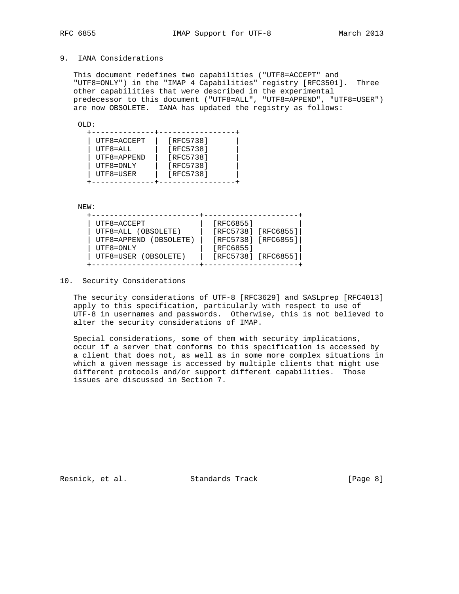# 9. IANA Considerations

 This document redefines two capabilities ("UTF8=ACCEPT" and "UTF8=ONLY") in the "IMAP 4 Capabilities" registry [RFC3501]. Three other capabilities that were described in the experimental predecessor to this document ("UTF8=ALL", "UTF8=APPEND", "UTF8=USER") are now OBSOLETE. IANA has updated the registry as follows:

OLD:

| UTF8=ACCEPT<br>$UTF8 = ALL$<br>UTF8=APPEND | [RFC5738]<br>[RFC5738]<br>[RFC5738] |  |
|--------------------------------------------|-------------------------------------|--|
| UTF8=ONLY                                  | [RFC5738]                           |  |
| UTF8=USER                                  | [RFC5738]                           |  |
|                                            |                                     |  |

NEW:

| UTF8=ACCEPT            | [RFC6855]               |
|------------------------|-------------------------|
| UTF8=ALL (OBSOLETE)    | [RFC5738] [RFC6855]     |
| UTF8=APPEND (OBSOLETE) | [RFC5738] [RFC6855]     |
| UTF8=ONLY              | [RFC6855]               |
| UTF8=USER (OBSOLETE)   | $[RFC5738]$ $[RFC6855]$ |

10. Security Considerations

The security considerations of UTF-8 [RFC3629] and SASLprep [RFC4013] apply to this specification, particularly with respect to use of UTF-8 in usernames and passwords. Otherwise, this is not believed to alter the security considerations of IMAP.

 Special considerations, some of them with security implications, occur if a server that conforms to this specification is accessed by a client that does not, as well as in some more complex situations in which a given message is accessed by multiple clients that might use different protocols and/or support different capabilities. Those issues are discussed in Section 7.

Resnick, et al. Standards Track [Page 8]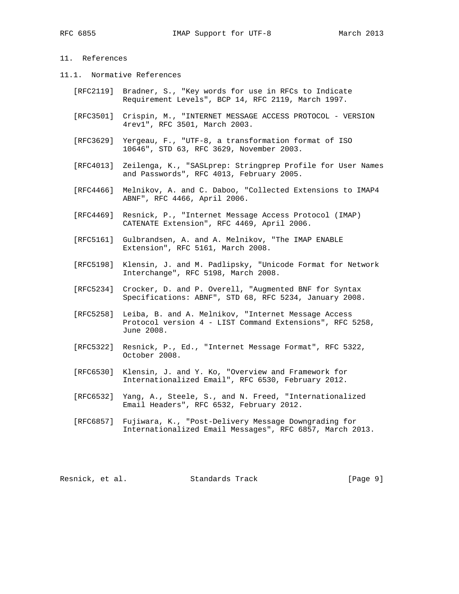# 11. References

- 11.1. Normative References
	- [RFC2119] Bradner, S., "Key words for use in RFCs to Indicate Requirement Levels", BCP 14, RFC 2119, March 1997.
	- [RFC3501] Crispin, M., "INTERNET MESSAGE ACCESS PROTOCOL VERSION 4rev1", RFC 3501, March 2003.
	- [RFC3629] Yergeau, F., "UTF-8, a transformation format of ISO 10646", STD 63, RFC 3629, November 2003.
	- [RFC4013] Zeilenga, K., "SASLprep: Stringprep Profile for User Names and Passwords", RFC 4013, February 2005.
	- [RFC4466] Melnikov, A. and C. Daboo, "Collected Extensions to IMAP4 ABNF", RFC 4466, April 2006.
	- [RFC4469] Resnick, P., "Internet Message Access Protocol (IMAP) CATENATE Extension", RFC 4469, April 2006.
	- [RFC5161] Gulbrandsen, A. and A. Melnikov, "The IMAP ENABLE Extension", RFC 5161, March 2008.
	- [RFC5198] Klensin, J. and M. Padlipsky, "Unicode Format for Network Interchange", RFC 5198, March 2008.
	- [RFC5234] Crocker, D. and P. Overell, "Augmented BNF for Syntax Specifications: ABNF", STD 68, RFC 5234, January 2008.
	- [RFC5258] Leiba, B. and A. Melnikov, "Internet Message Access Protocol version 4 - LIST Command Extensions", RFC 5258, June 2008.
	- [RFC5322] Resnick, P., Ed., "Internet Message Format", RFC 5322, October 2008.
	- [RFC6530] Klensin, J. and Y. Ko, "Overview and Framework for Internationalized Email", RFC 6530, February 2012.
	- [RFC6532] Yang, A., Steele, S., and N. Freed, "Internationalized Email Headers", RFC 6532, February 2012.
	- [RFC6857] Fujiwara, K., "Post-Delivery Message Downgrading for Internationalized Email Messages", RFC 6857, March 2013.

Resnick, et al. Standards Track [Page 9]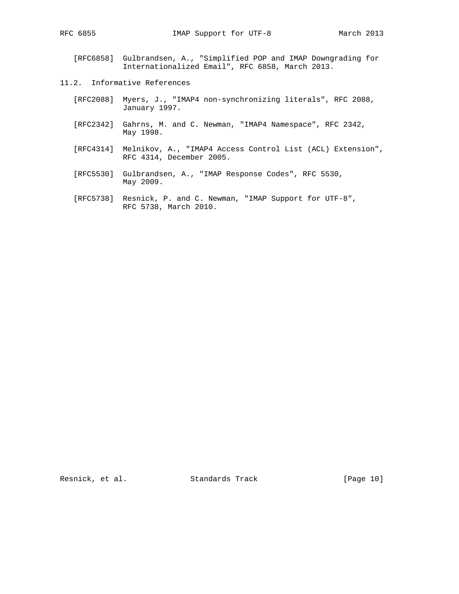- [RFC6858] Gulbrandsen, A., "Simplified POP and IMAP Downgrading for Internationalized Email", RFC 6858, March 2013.
- 11.2. Informative References
	- [RFC2088] Myers, J., "IMAP4 non-synchronizing literals", RFC 2088, January 1997.
	- [RFC2342] Gahrns, M. and C. Newman, "IMAP4 Namespace", RFC 2342, May 1998.
	- [RFC4314] Melnikov, A., "IMAP4 Access Control List (ACL) Extension", RFC 4314, December 2005.
	- [RFC5530] Gulbrandsen, A., "IMAP Response Codes", RFC 5530, May 2009.
	- [RFC5738] Resnick, P. and C. Newman, "IMAP Support for UTF-8", RFC 5738, March 2010.

Resnick, et al. Standards Track [Page 10]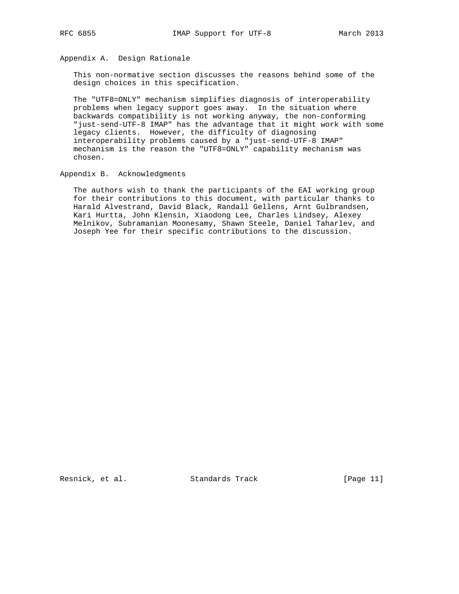Appendix A. Design Rationale

 This non-normative section discusses the reasons behind some of the design choices in this specification.

 The "UTF8=ONLY" mechanism simplifies diagnosis of interoperability problems when legacy support goes away. In the situation where backwards compatibility is not working anyway, the non-conforming "just-send-UTF-8 IMAP" has the advantage that it might work with some legacy clients. However, the difficulty of diagnosing interoperability problems caused by a "just-send-UTF-8 IMAP" mechanism is the reason the "UTF8=ONLY" capability mechanism was chosen.

Appendix B. Acknowledgments

 The authors wish to thank the participants of the EAI working group for their contributions to this document, with particular thanks to Harald Alvestrand, David Black, Randall Gellens, Arnt Gulbrandsen, Kari Hurtta, John Klensin, Xiaodong Lee, Charles Lindsey, Alexey Melnikov, Subramanian Moonesamy, Shawn Steele, Daniel Taharlev, and Joseph Yee for their specific contributions to the discussion.

Resnick, et al. Standards Track [Page 11]